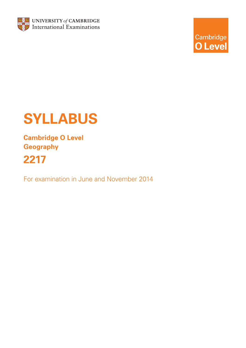

Cambridge **O** Level

# **SYLLABUS**

**Cambridge O Level Geography 2217**

For examination in June and November 2014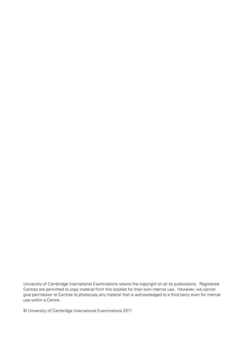University of Cambridge International Examinations retains the copyright on all its publications. Registered Centres are permitted to copy material from this booklet for their own internal use. However, we cannot give permission to Centres to photocopy any material that is acknowledged to a third party even for internal use within a Centre.

© University of Cambridge International Examinations 2011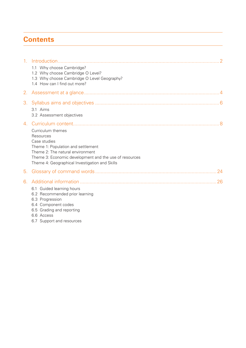### **Contents**

| 1 <sub>1</sub> |                                                                                                                                                                                                                                      |
|----------------|--------------------------------------------------------------------------------------------------------------------------------------------------------------------------------------------------------------------------------------|
|                | 1.1 Why choose Cambridge?<br>1.2 Why choose Cambridge O Level?<br>1.3 Why choose Cambridge O Level Geography?<br>1.4 How can I find out more?                                                                                        |
| 2.             |                                                                                                                                                                                                                                      |
| 3.             | 3.1 Aims<br>3.2 Assessment objectives                                                                                                                                                                                                |
| 4.             | Curriculum themes<br>Resources<br>Case studies<br>Theme 1: Population and settlement<br>Theme 2: The natural environment<br>Theme 3: Economic development and the use of resources<br>Theme 4: Geographical Investigation and Skills |
| 5.             |                                                                                                                                                                                                                                      |
| 6.             | 6.1 Guided learning hours<br>6.2 Recommended prior learning<br>6.3 Progression<br>6.4 Component codes<br>6.5 Grading and reporting<br>6.6 Access<br>6.7 Support and resources                                                        |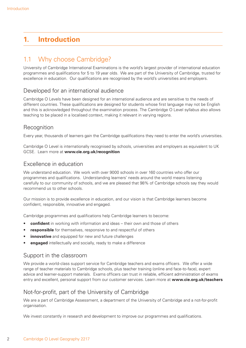### **1. Introduction**

### 1.1 Why choose Cambridge?

University of Cambridge International Examinations is the world's largest provider of international education programmes and qualifications for 5 to 19 year olds. We are part of the University of Cambridge, trusted for excellence in education. Our qualifications are recognised by the world's universities and employers.

### Developed for an international audience

Cambridge O Levels have been designed for an international audience and are sensitive to the needs of different countries. These qualifications are designed for students whose first language may not be English and this is acknowledged throughout the examination process. The Cambridge O Level syllabus also allows teaching to be placed in a localised context, making it relevant in varying regions.

### **Recognition**

Every year, thousands of learners gain the Cambridge qualifications they need to enter the world's universities.

Cambridge O Level is internationally recognised by schools, universities and employers as equivalent to UK GCSE. Learn more at **[www.cie.org.uk/recognition](http://www.cie.org.uk/recognition)**

### Excellence in education

We understand education. We work with over 9000 schools in over 160 countries who offer our programmes and qualifications. Understanding learners' needs around the world means listening carefully to our community of schools, and we are pleased that 98% of Cambridge schools say they would recommend us to other schools.

Our mission is to provide excellence in education, and our vision is that Cambridge learners become confident, responsible, innovative and engaged.

Cambridge programmes and qualifications help Cambridge learners to become:

- **confident** in working with information and ideas their own and those of others
- **responsible** for themselves, responsive to and respectful of others
- **innovative** and equipped for new and future challenges
- **engaged** intellectually and socially, ready to make a difference

### Support in the classroom

We provide a world-class support service for Cambridge teachers and exams officers. We offer a wide range of teacher materials to Cambridge schools, plus teacher training (online and face-to-face), expert advice and learner-support materials. Exams officers can trust in reliable, efficient administration of exams entry and excellent, personal support from our customer services. Learn more at **[www.cie.org.uk/teachers](http://www.cie.org.uk/teachers)**

### Not-for-profit, part of the University of Cambridge

We are a part of Cambridge Assessment, a department of the University of Cambridge and a not-for-profit organisation.

We invest constantly in research and development to improve our programmes and qualifications.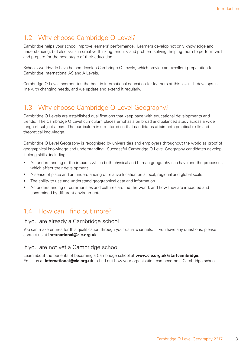### 1.2 Why choose Cambridge O Level?

Cambridge helps your school improve learners' performance. Learners develop not only knowledge and understanding, but also skills in creative thinking, enquiry and problem solving, helping them to perform well and prepare for the next stage of their education.

Schools worldwide have helped develop Cambridge O Levels, which provide an excellent preparation for Cambridge International AS and A Levels.

Cambridge O Level incorporates the best in international education for learners at this level. It develops in line with changing needs, and we update and extend it regularly.

### 1.3 Why choose Cambridge O Level Geography?

Cambridge O Levels are established qualifications that keep pace with educational developments and trends. The Cambridge O Level curriculum places emphasis on broad and balanced study across a wide range of subject areas. The curriculum is structured so that candidates attain both practical skills and theoretical knowledge.

Cambridge O Level Geography is recognised by universities and employers throughout the world as proof of geographical knowledge and understanding. Successful Cambridge O Level Geography candidates develop lifelong skills, including:

- An understanding of the impacts which both physical and human geography can have and the processes which affect their development.
- A sense of place and an understanding of relative location on a local, regional and global scale.
- The ability to use and understand geographical data and information.
- An understanding of communities and cultures around the world, and how they are impacted and constrained by different environments.

### 1.4 How can I find out more?

#### If you are already a Cambridge school

You can make entries for this qualification through your usual channels. If you have any questions, please contact us at **[international@cie.org.uk](mailto:international@cie.org.uk)**

#### If you are not yet a Cambridge school

Learn about the benefits of becoming a Cambridge school at **[www.cie.org.uk/startcambridge](http://www.cie.org.uk/startcambridge)**. Email us at **[international@cie.org.uk](mailto:international@cie.org.uk)** to find out how your organisation can become a Cambridge school.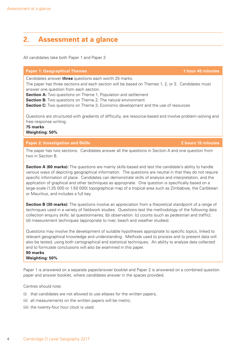### **2. Assessment at a glance**

All candidates take both Paper 1 and Paper 2

#### **Paper 1: Geographical Themes 1 hour 45 minutes**

Candidates answer **three** questions each worth 25 marks.

The paper has three sections and each section will be based on Themes 1, 2, or 3. Candidates must answer one question from each section.

**Section A:** Two questions on Theme 1, Population and settlement

**Section B:** Two questions on Theme 2, The natural environment

**Section C:** Two questions on Theme 3, Economic development and the use of resources

Questions are structured with gradients of difficulty, are resource-based and involve problem-solving and free-response writing.

**75 marks Weighting: 50%**

#### **Paper 2: Investigation and Skills 2 hours 15 minutes**

The paper has two sections. Candidates answer all the questions in Section A and one question from two in Section B.

**Section A (60 marks):** The questions are mainly skills-based and test the candidate's ability to handle various ways of depicting geographical information. The questions are neutral in that they do not require specific information of place. Candidates can demonstrate skills of analysis and interpretation, and the application of graphical and other techniques as appropriate. One question is specifically based on a large-scale (1:25 000 or 1:50 000) topographical map of a tropical area such as Zimbabwe, the Caribbean or Mauritius, and includes a full key.

**Section B (30 marks):** The questions involve an appreciation from a theoretical standpoint of a range of techniques used in a variety of fieldwork studies. Questions test the methodology of the following data collection enquiry skills: (a) questionnaires; (b) observation: (c) counts (such as pedestrian and traffic); (d) measurement techniques (appropriate to river, beach and weather studies).

Questions may involve the development of suitable hypotheses appropriate to specific topics, linked to relevant geographical knowledge and understanding. Methods used to process and to present data will also be tested, using both cartographical and statistical techniques. An ability to analyse data collected and to formulate conclusions will also be examined in this paper.

#### **90 marks Weighting: 50%**

Paper 1 is answered on a separate paper/answer booklet and Paper 2 is answered on a combined question paper and answer booklet, where candidates answer in the spaces provided.

Centres should note:

- (i) that candidates are not allowed to use atlases for the written papers,
- (ii) all measurements on the written papers will be metric,
- (iii) the twenty-four hour clock is used.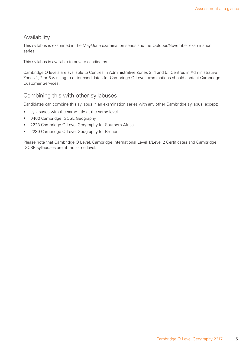### Availability

This syllabus is examined in the May/June examination series and the October/November examination series.

This syllabus is available to private candidates.

Cambridge O levels are available to Centres in Administrative Zones 3, 4 and 5. Centres in Administrative Zones 1, 2 or 6 wishing to enter candidates for Cambridge O Level examinations should contact Cambridge Customer Services.

### Combining this with other syllabuses

Candidates can combine this syllabus in an examination series with any other Cambridge syllabus, except:

- syllabuses with the same title at the same level
- 0460 Cambridge IGCSE Geography
- 2223 Cambridge O Level Geography for Southern Africa
- 2230 Cambridge O Level Geography for Brunei

Please note that Cambridge O Level, Cambridge International Level 1/Level 2 Certificates and Cambridge IGCSE syllabuses are at the same level.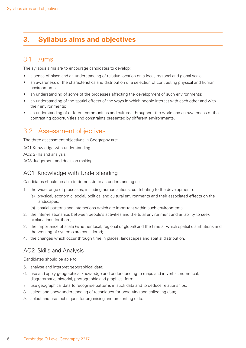# **3. Syllabus aims and objectives**

### 3.1 Aims

The syllabus aims are to encourage candidates to develop:

- a sense of place and an understanding of relative location on a local, regional and global scale;
- an awareness of the characteristics and distribution of a selection of contrasting physical and human environments;
- an understanding of some of the processes affecting the development of such environments;
- an understanding of the spatial effects of the ways in which people interact with each other and with their environments;
- an understanding of different communities and cultures throughout the world and an awareness of the contrasting opportunities and constraints presented by different environments.

### 3.2 Assessment objectives

The three assessment objectives in Geography are:

AO1 Knowledge with understanding

AO2 Skills and analysis

AO3 Judgement and decision making

### AO1 Knowledge with Understanding

Candidates should be able to demonstrate an understanding of:

- 1. the wide range of processes, including human actions, contributing to the development of
	- (a) physical, economic, social, political and cultural environments and their associated effects on the landscapes;
	- (b) spatial patterns and interactions which are important within such environments;
- 2. the inter-relationships between people's activities and the total environment and an ability to seek explanations for them;
- 3. the importance of scale (whether local, regional or global) and the time at which spatial distributions and the working of systems are considered;
- 4. the changes which occur through time in places, landscapes and spatial distribution.

### AO2 Skills and Analysis

- 5. analyse and interpret geographical data;
- 6. use and apply geographical knowledge and understanding to maps and in verbal, numerical, diagrammatic, pictorial, photographic and graphical form;
- 7. use geographical data to recognise patterns in such data and to deduce relationships;
- 8. select and show understanding of techniques for observing and collecting data;
- 9. select and use techniques for organising and presenting data.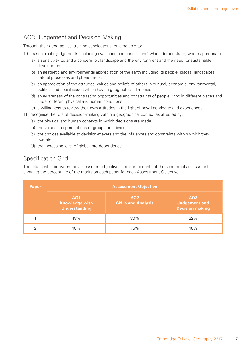### AO3 Judgement and Decision Making

Through their geographical training candidates should be able to:

- 10. reason, make judgements (including evaluation and conclusions) which demonstrate, where appropriate
	- (a) a sensitivity to, and a concern for, landscape and the environment and the need for sustainable development;
	- (b) an aesthetic and environmental appreciation of the earth including its people, places, landscapes, natural processes and phenomena;
	- (c) an appreciation of the attitudes, values and beliefs of others in cultural, economic, environmental, political and social issues which have a geographical dimension;
	- (d) an awareness of the contrasting opportunities and constraints of people living in different places and under different physical and human conditions;
	- (e) a willingness to review their own attitudes in the light of new knowledge and experiences.
- 11. recognise the role of decision-making within a geographical context as affected by:
	- (a) the physical and human contexts in which decisions are made;
	- (b) the values and perceptions of groups or individuals;
	- (c) the choices available to decision-makers and the influences and constraints within which they operate;
	- (d) the increasing level of global interdependence.

### Specification Grid

The relationship between the assessment objectives and components of the scheme of assessment, showing the percentage of the marks on each paper for each Assessment Objective.

| <b>Paper</b> | <b>Assessment Objective</b>                                      |                                   |                                                       |
|--------------|------------------------------------------------------------------|-----------------------------------|-------------------------------------------------------|
|              | AO <sub>1</sub><br><b>Knowledge with</b><br><b>Understanding</b> | A02<br><b>Skills and Analysis</b> | AO3<br><b>Judgement and</b><br><b>Decision making</b> |
|              | 48%                                                              | 30%                               | 22%                                                   |
| 2            | 10%                                                              | 75%                               | 15%                                                   |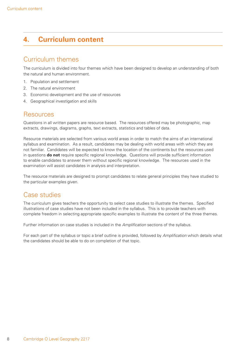### **4. Curriculum content**

### Curriculum themes

The curriculum is divided into four themes which have been designed to develop an understanding of both the natural and human environment.

- 1. Population and settlement
- 2. The natural environment
- 3. Economic development and the use of resources
- 4. Geographical investigation and skills

### Resources

Questions in all written papers are resource based. The resources offered may be photographic, map extracts, drawings, diagrams, graphs, text extracts, statistics and tables of data.

Resource materials are selected from various world areas in order to match the aims of an international syllabus and examination. As a result, candidates may be dealing with world areas with which they are not familiar. Candidates will be expected to know the location of the continents but the resources used in questions **do not** require specific regional knowledge. Questions will provide sufficient information to enable candidates to answer them without specific regional knowledge. The resources used in the examination will assist candidates in analysis and interpretation.

The resource materials are designed to prompt candidates to relate general principles they have studied to the particular examples given.

### Case studies

The curriculum gives teachers the opportunity to select case studies to illustrate the themes. Specified illustrations of case studies have not been included in the syllabus. This is to provide teachers with complete freedom in selecting appropriate specific examples to illustrate the content of the three themes.

Further information on case studies is included in the *Amplification* sections of the syllabus.

For each part of the syllabus or topic a brief outline is provided, followed by *Amplification* which details what the candidates should be able to do on completion of that topic.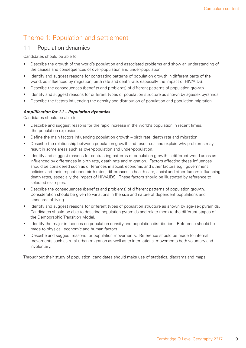### Theme 1: Population and settlement

### 1.1 Population dynamics

Candidates should be able to:

- Describe the growth of the world's population and associated problems and show an understanding of the causes and consequences of over-population and under-population.
- Identify and suggest reasons for contrasting patterns of population growth in different parts of the world, as influenced by migration, birth rate and death rate, especially the impact of HIV/AIDS.
- Describe the consequences (benefits and problems) of different patterns of population growth.
- Identify and suggest reasons for different types of population structure as shown by age/sex pyramids.
- Describe the factors influencing the density and distribution of population and population migration.

#### *Amplification for 1.1 – Population dynamics*

Candidates should be able to:

- Describe and suggest reasons for the rapid increase in the world's population in recent times, 'the population explosion'.
- Define the main factors influencing population growth birth rate, death rate and migration.
- Describe the relationship between population growth and resources and explain why problems may result in some areas such as over-population and under-population.
- Identify and suggest reasons for contrasting patterns of population growth in different world areas as influenced by differences in birth rate, death rate and migration. Factors affecting these influences should be considered such as differences in social, economic and other factors e.g., government policies and their impact upon birth rates, differences in health care, social and other factors influencing death rates, especially the impact of HIV/AIDS. These factors should be illustrated by reference to selected examples.
- Describe the consequences (benefits and problems) of different patterns of population growth. Consideration should be given to variations in the size and nature of dependent populations and standards of living.
- Identify and suggest reasons for different types of population structure as shown by age-sex pyramids. Candidates should be able to describe population pyramids and relate them to the different stages of the Demographic Transition Model.
- Identify the major influences on population density and population distribution. Reference should be made to physical, economic and human factors.
- Describe and suggest reasons for population movements. Reference should be made to internal movements such as rural-urban migration as well as to international movements both voluntary and involuntary.

Throughout their study of population, candidates should make use of statistics, diagrams and maps.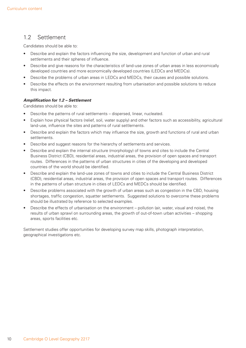### 1.2 Settlement

Candidates should be able to:

- Describe and explain the factors influencing the size, development and function of urban and rural settlements and their spheres of influence.
- Describe and give reasons for the characteristics of land-use zones of urban areas in less economically developed countries and more economically developed countries (LEDCs and MEDCs).
- Describe the problems of urban areas in LEDCs and MEDCs, their causes and possible solutions.
- Describe the effects on the environment resulting from urbanisation and possible solutions to reduce this impact.

#### *Amplification for 1.2 – Settlement*

Candidates should be able to:

- Describe the patterns of rural settlements dispersed, linear, nucleated.
- Explain how physical factors (relief, soil, water supply) and other factors such as accessibility, agricultural land-use, influence the sites and patterns of rural settlements.
- Describe and explain the factors which may influence the size, growth and functions of rural and urban settlements.
- Describe and suggest reasons for the hierarchy of settlements and services.
- Describe and explain the internal structure (morphology) of towns and cites to include the Central Business District (CBD), residential areas, industrial areas, the provision of open spaces and transport routes. Differences in the patterns of urban structures in cities of the developing and developed countries of the world should be identified.
- Describe and explain the land-use zones of towns and cities to include the Central Business District (CBD), residential areas, industrial areas, the provision of open spaces and transport routes. Differences in the patterns of urban structure in cities of LEDCs and MEDCs should be identified.
- Describe problems associated with the growth of urban areas such as congestion in the CBD, housing shortages, traffic congestion, squatter settlements. Suggested solutions to overcome these problems should be illustrated by reference to selected examples.
- Describe the effects of urbanisation on the environment pollution (air, water, visual and noise), the results of urban sprawl on surrounding areas, the growth of out-of-town urban activities – shopping areas, sports facilities etc.

Settlement studies offer opportunities for developing survey map skills, photograph interpretation, geographical investigations etc.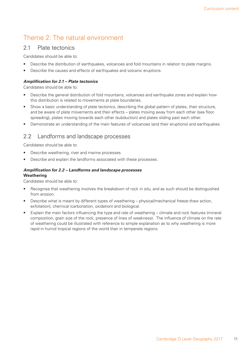### Theme 2: The natural environment

### 2.1 Plate tectonics

Candidates should be able to:

- Describe the distribution of earthquakes, volcanoes and fold mountains in relation to plate margins.
- Describe the causes and effects of earthquakes and volcanic eruptions.

#### *Amplification for 2.1 – Plate tectonics*

Candidates should be able to:

- Describe the general distribution of fold mountains, volcanoes and earthquake zones and explain how this distribution is related to movements at plate boundaries.
- Show a basic understanding of plate tectonics, describing the global pattern of plates, their structure, and be aware of plate movements and their effects – plates moving away from each other (sea floor spreading), plates moving towards each other (subduction) and plates sliding past each other.
- Demonstrate an understanding of the main features of volcanoes (and their eruptions) and earthquakes.

### 2.2 Landforms and landscape processes

Candidates should be able to:

- Describe weathering, river and marine processes.
- Describe and explain the landforms associated with these processes.

#### *Amplification for 2.2 – Landforms and landscape processes* **Weathering**

- Recognise that weathering involves the breakdown of rock *in situ*, and as such should be distinguished from erosion.
- Describe what is meant by different types of weathering physical/mechanical freeze-thaw action, exfoliation), chemical (carbonation, oxidation) and biological.
- Explain the main factors influencing the type and rate of weathering climate and rock features (mineral composition, grain size of the rock, presence of lines of weakness). The influence of climate on the rate of weathering could be illustrated with reference to simple explanation as to why weathering is more rapid in humid tropical regions of the world than in temperate regions.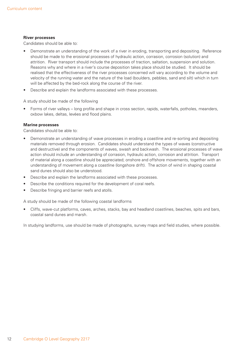#### **River processes**

Candidates should be able to:

- Demonstrate an understanding of the work of a river in eroding, transporting and depositing. Reference should be made to the erosional processes of hydraulic action, corrasion, corrosion (solution) and attrition. River transport should include the processes of traction, saltation, suspension and solution. Reasons why and where in a river's course deposition takes place should be studied. It should be realised that the effectiveness of the river processes concerned will vary according to the volume and velocity of the running water and the nature of the load (boulders, pebbles, sand and silt) which in turn will be affected by the bed-rock along the course of the river.
- Describe and explain the landforms associated with these processes.

A study should be made of the following

• Forms of river valleys – long profile and shape in cross section, rapids, waterfalls, potholes, meanders, oxbow lakes, deltas, levées and flood plains.

#### **Marine processes**

Candidates should be able to:

- Demonstrate an understanding of wave processes in eroding a coastline and re-sorting and depositing materials removed through erosion. Candidates should understand the types of waves (constructive and destructive) and the components of waves, swash and backwash. The erosional processes of wave action should include an understanding of corrasion, hydraulic action, corrosion and attrition. Transport of material along a coastline should be appreciated; onshore and offshore movements, together with an understanding of movement along a coastline (longshore drift). The action of wind in shaping coastal sand dunes should also be understood.
- Describe and explain the landforms associated with these processes.
- Describe the conditions required for the development of coral reefs.
- Describe fringing and barrier reefs and atolls.

A study should be made of the following coastal landforms

• Cliffs, wave-cut platforms, caves, arches, stacks, bay and headland coastlines, beaches, spits and bars, coastal sand dunes and marsh.

In studying landforms, use should be made of photographs, survey maps and field studies, where possible.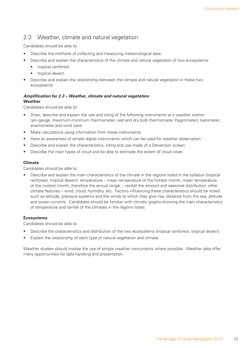### 2.3 Weather, climate and natural vegetation

Candidates should be able to:

- Describe the methods of collecting and measuring meteorological data.
- Describe and explain the characteristics of the climate and natural vegetation of two ecosystems:
	- tropical rainforest
	- tropical desert.
- Describe and explain the relationship between the climate and natural vegetation in these two ecosystems.

#### *Amplification for 2.3 – Weather, climate and natural vegetation* **Weather**

Candidates should be able to:

- Draw, describe and explain the use and siting of the following instruments at a weather station: rain-gauge, maximum-minimum thermometer, wet and dry bulb thermometer (hygrometer), barometer, anemometer and wind vane.
- Make calculations using information from these instruments.
- Have an awareness of simple digital instruments which can be used for weather observation.
- Describe and explain the characteristics, siting and use made of a Stevenson screen.
- Describe the main types of cloud and be able to estimate the extent of cloud cover.

#### **Climate**

Candidates should be able to:

• Describe and explain the main characteristics of the climate in the regions listed in the syllabus (tropical rainforest, tropical desert): temperature – mean temperature of the hottest month, mean temperature of the coolest month, therefore the annual range; – rainfall the amount and seasonal distribution; other climate features – wind, cloud, humidity, etc. Factors influencing these characteristics should be noted such as latitude, pressure systems and the winds to which they give rise, distance from the sea, altitude and ocean currents. Candidates should be familiar with climatic graphs showing the main characteristics of temperature and rainfall of the climates in the regions listed.

#### **Ecosystems**

Candidates should be able to:

- Describe the characteristics and distribution of the two ecosystems (tropical rainforest, tropical desert).
- Explain the relationship of each type of natural vegetation and climate.

Weather studies should involve the use of simple weather instruments where possible. Weather data offer many opportunities for data handling and presentation.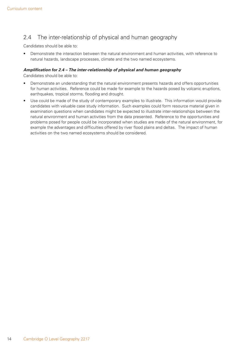### 2.4 The inter-relationship of physical and human geography

Candidates should be able to:

• Demonstrate the interaction between the natural environment and human activities, with reference to natural hazards, landscape processes, climate and the two named ecosystems.

#### *Amplification for 2.4 – The inter-relationship of physical and human geography*

- Demonstrate an understanding that the natural environment presents hazards and offers opportunities for human activities. Reference could be made for example to the hazards posed by volcanic eruptions, earthquakes, tropical storms, flooding and drought.
- Use could be made of the study of contemporary examples to illustrate. This information would provide candidates with valuable case study information. Such examples could form resource material given in examination questions when candidates might be expected to illustrate inter-relationships between the natural environment and human activities from the data presented. Reference to the opportunities and problems posed for people could be incorporated when studies are made of the natural environment, for example the advantages and difficulties offered by river flood plains and deltas. The impact of human activities on the two named ecosystems should be considered.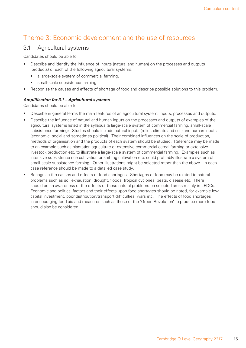### Theme 3: Economic development and the use of resources

### 3.1 Agricultural systems

Candidates should be able to:

- Describe and identify the influence of inputs (natural and human) on the processes and outputs (products) of each of the following agricultural systems:
	- a large-scale system of commercial farming,
	- small-scale subsistence farming.
- Recognise the causes and effects of shortage of food and describe possible solutions to this problem.

#### *Amplification for 3.1 – Agricultural systems*

- Describe in general terms the main features of an agricultural system: inputs, processes and outputs.
- Describe the influence of natural and human inputs on the processes and outputs of examples of the agricultural systems listed in the syllabus (a large-scale system of commercial farming, small-scale subsistence farming). Studies should include natural inputs (relief, climate and soil) and human inputs (economic, social and sometimes political). Their combined influences on the scale of production, methods of organisation and the products of each system should be studied. Reference may be made to an example such as plantation agriculture or extensive commercial cereal farming or extensive livestock production etc, to illustrate a large-scale system of commercial farming. Examples such as intensive subsistence rice cultivation or shifting cultivation etc, could profitably illustrate a system of small-scale subsistence farming. Other illustrations might be selected rather than the above. In each case reference should be made to a detailed case study.
- Recognise the causes and effects of food shortages. Shortages of food may be related to natural problems such as soil exhaustion, drought, floods, tropical cyclones, pests, disease etc. There should be an awareness of the effects of these natural problems on selected areas mainly in LEDCs. Economic and political factors and their effects upon food shortages should be noted, for example low capital investment, poor distribution/transport difficulties, wars etc. The effects of food shortages in encouraging food aid and measures such as those of the 'Green Revolution' to produce more food should also be considered.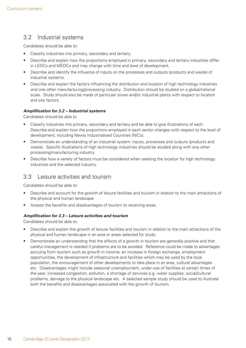### 3.2 Industrial systems

Candidates should be able to:

- Classify industries into primary, secondary and tertiary.
- Describe and explain how the proportions employed in primary, secondary and tertiary industries differ in LEDCs and MEDCs and may change with time and level of development.
- Describe and identify the influence of inputs on the processes and outputs (products and waste) of industrial systems.
- Describe and explain the factors influencing the distribution and location of high technology industries *and one other manufacturing/processing industry*. Distribution should be studied on a global/national scale. Study should also be made of particular zones and/or industrial plants with respect to location and site factors.

#### *Amplification for 3.2 – Industrial systems*

Candidates should be able to

- Classify industries into primary, secondary and tertiary and be able to give illustrations of each. Describe and explain how the proportions employed in each sector changes with respect to the level of development, including Newly Industrialised Countries (NICs).
- Demonstrate an understanding of an industrial system: inputs, processes and outputs (products and waste). Specific illustrations of high technology industries should be studied along with one other processing/manufacturing industry.
- Describe how a variety of factors must be considered when seeking the location for high technology industries and the selected industry.

#### 3.3 Leisure activities and tourism

Candidates should be able to:

- Describe and account for the growth of leisure facilities and tourism in relation to the main attractions of the physical and human landscape.
- Assess the benefits and disadvantages of tourism to receiving areas.

#### *Amplification for 3.3 – Leisure activities and tourism*

- Describe and explain the growth of leisure facilities and tourism in relation to the main attractions of the physical and human landscape in an area or areas selected for study.
- Demonstrate an understanding that the effects of a growth in tourism are generally positive and that careful management is needed if problems are to be avoided. Reference could be made to advantages accruing from tourism such as growth in income, an increase in foreign exchange, employment opportunities, the development of infrastructure and facilities which may be used by the local population, the encouragement of other developments to take place in an area, cultural advantages etc. Disadvantages might include seasonal unemployment, under-use of facilities at certain times of the year, increased congestion, pollution, a shortage of services e.g. water supplies, social/cultural problems, damage to the physical landscape etc. A selected sample study should be used to illustrate both the benefits and disadvantages associated with the growth of tourism.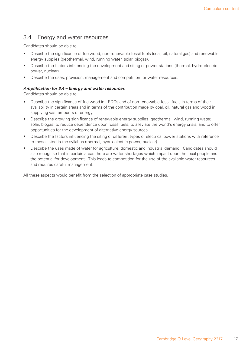### 3.4 Energy and water resources

Candidates should be able to:

- Describe the significance of fuelwood, non-renewable fossil fuels (coal, oil, natural gas) and renewable energy supplies (geothermal, wind, running water, solar, biogas).
- Describe the factors influencing the development and siting of power stations (thermal, hydro-electric power, nuclear).
- Describe the uses, provision, management and competition for water resources.

#### *Amplification for 3.4 – Energy and water resources*

Candidates should be able to:

- Describe the significance of fuelwood in LEDCs and of non-renewable fossil fuels in terms of their availability in certain areas and in terms of the contribution made by coal, oil, natural gas and wood in supplying vast amounts of energy.
- Describe the growing significance of renewable energy supplies (geothermal, wind, running water, solar, biogas) to reduce dependence upon fossil fuels, to alleviate the world's energy crisis, and to offer opportunities for the development of alternative energy sources.
- Describe the factors influencing the siting of different types of electrical power stations with reference to those listed in the syllabus (thermal, hydro-electric power, nuclear).
- Describe the uses made of water for agriculture, domestic and industrial demand. Candidates should also recognise that in certain areas there are water shortages which impact upon the local people and the potential for development. This leads to competition for the use of the available water resources and requires careful management.

All these aspects would benefit from the selection of appropriate case studies.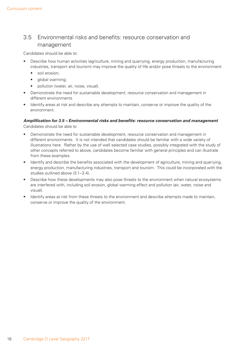### 3.5 Environmental risks and benefits: resource conservation and management

Candidates should be able to:

- Describe how human activities (agriculture, mining and quarrying, energy production, manufacturing industries, transport and tourism) may improve the quality of life and/or pose threats to the environment:
	- soil erosion;
	- global warming;
	- pollution (water, air, noise, visual).
- Demonstrate the need for sustainable development, resource conservation and management in different environments
- Identify areas at risk and describe any attempts to maintain, conserve or improve the quality of the environment.

#### *Amplification for 3.5 – Environmental risks and benefits: resource conservation and management*

- Demonstrate the need for sustainable development, resource conservation and management in different environments. It is not intended that candidates should be familiar with a wide variety of illustrations here. Rather by the use of well selected case studies, possibly integrated with the study of other concepts referred to above, candidates become familiar with general principles and can illustrate from these examples.
- Identify and describe the benefits associated with the development of agriculture, mining and quarrying, energy production, manufacturing industries, transport and tourism. This could be incorporated with the studies outlined above (3.1–3.4).
- Describe how these developments may also pose threats to the environment when natural ecosystems are interfered with, including soil erosion, global warming effect and pollution (air, water, noise and visual).
- Identify areas at risk from these threats to the environment and describe attempts made to maintain, conserve or improve the quality of the environment.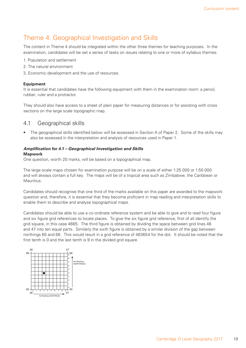### Theme 4: Geographical Investigation and Skills

The content in Theme 4 should be integrated within the other three themes for teaching purposes. In the examination, candidates will be set a series of tasks on issues relating to one or more of syllabus themes:

- 1. Population and settlement
- 2. The natural environment
- 3. Economic development and the use of resources.

#### **Equipment**

It is essential that candidates have the following equipment with them in the examination room: a pencil, rubber, ruler and a protractor.

They should also have access to a sheet of plain paper for measuring distances or for assisting with cross sections on the large scale topographic map.

#### 4.1 Geographical skills

• The geographical skills identified below will be assessed in Section A of Paper 2. Some of the skills may also be assessed in the interpretation and analysis of resources used in Paper 1.

#### *Amplification for 4.1 – Geographical Investigation and Skills*

#### **Mapwork**

One question, worth 20 marks, will be based on a topographical map.

The large-scale maps chosen for examination purpose will be on a scale of either 1:25 000 or 1:50 000 and will always contain a full key. The maps will be of a tropical area such as Zimbabwe, the Caribbean or Mauritius.

Candidates should recognise that one third of the marks available on this paper are awarded to the mapwork question and, therefore, it is essential that they become proficient in map reading and interpretation skills to enable them to describe and analyse topographical maps.

Candidates should be able to use a co-ordinate reference system and be able to give and to read four figure and six figure grid references to locate places. To give the six figure grid reference, first of all identify the grid square, in this case 4665. The third figure is obtained by dividing the space between grid lines 46 and 47 into ten equal parts. Similarly the sixth figure is obtained by a similar division of the gap between northings 65 and 66. This would result in a grid reference of 463654 for the dot. It should be noted that the first tenth is 0 and the last tenth is 9 in the divided grid square.

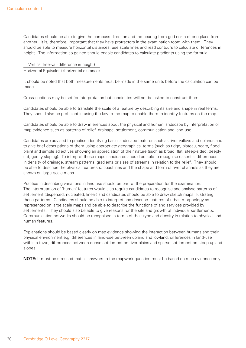Candidates should be able to give the compass direction and the bearing from grid north of one place from another. It is, therefore, important that they have protractors in the examination room with them. They should be able to measure horizontal distances, use scale lines and read contours to calculate differences in height. The information so gained should enable candidates to calculate gradients using the formula:

Vertical Interval (difference in height) Horizontal Equivalent (horizontal distance)

It should be noted that both measurements must be made in the same units before the calculation can be made.

Cross-sections may be set for interpretation but candidates will not be asked to construct them.

Candidates should be able to translate the scale of a feature by describing its size and shape in real terms. They should also be proficient in using the key to the map to enable them to identify features on the map.

Candidates should be able to draw inferences about the physical and human landscape by interpretation of map evidence such as patterns of relief, drainage, settlement, communication and land-use.

Candidates are advised to practise identifying basic landscape features such as river valleys and uplands and to give brief descriptions of them using appropriate geographical terms (such as ridge, plateau, scarp, flood plain) and simple adjectives showing an appreciation of their nature (such as broad, flat, steep-sided, deeply cut, gently sloping). To interpret these maps candidates should be able to recognise essential differences in density of drainage, stream patterns, gradients or sizes of streams in relation to the relief. They should be able to describe the physical features *of* coastlines and the shape and form of river channels as they are shown on large-scale maps.

Practice in describing variations in land use should be part of the preparation for the examination. The interpretation of 'human' features would also require candidates to recognise and analyse patterns of settlement (dispersed, nucleated, linear) and candidates should be able to draw sketch maps illustrating these patterns. Candidates should be able to interpret and describe features of urban morphology as represented on large scale maps and be able to describe the functions of and services provided by settlements. They should also be able to give reasons for the site and growth of individual settlements. Communication networks should be recognised in terms of their type and density in relation to physical and human features.

Explanations should be based clearly on map evidence showing the interaction between humans and their physical environment e.g. differences in land-use between upland and lowland, differences in land-use within a town, differences between dense settlement on river plains and sparse settlement on steep upland slopes.

**NOTE:** It must be stressed that all answers to the mapwork question must be based on map evidence only.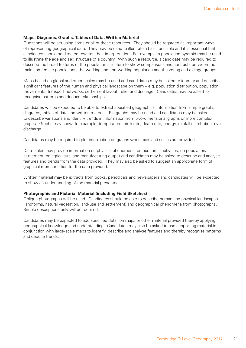#### **Maps, Diagrams, Graphs, Tables of Data, Written Material**

Questions will be set using some or all of these resources. They should be regarded as important ways of representing geographical data. They may be used to illustrate a basic principle and it is essential that candidates should be directed towards their interpretation. For example, a population pyramid may be used to illustrate the age and sex structure of a country. With such a resource, a candidate may be required to describe the broad features of the population structure to show comparisons and contrasts between the male and female populations, the working and non-working population and the young and old age groups.

Maps based on global and other scales may be used and candidates may be asked to identify and describe significant features of the human and physical landscape on them – e.g. population distribution, population movements, transport networks, settlement layout, relief and drainage. Candidates may be asked to recognise patterns and deduce relationships.

Candidates will be expected to be able to extract specified geographical information from simple graphs, diagrams, tables of data and written material. Pie graphs may be used and candidates may be asked to describe variations and identify trends in information from two-dimensional graphs or more complex graphs. Graphs may show, for example, temperature, birth rate, death rate, energy, rainfall distribution, river discharge.

Candidates may be required to plot information on graphs when axes and scales are provided.

Data tables may provide information on physical phenomena, on economic activities, on population/ settlement, on agricultural and manufacturing output and candidates may be asked to describe and analyse features and trends from the data provided. They may also be asked to suggest an appropriate form of graphical representation for the data provided.

Written material may be extracts from books, periodicals and newspapers and candidates will be expected to show an understanding of the material presented.

#### **Photographic and Pictorial Material (including Field Sketches)**

Oblique photographs will be used. Candidates should be able to describe human and physical landscapes (landforms, natural vegetation, land-use and settlement) and geographical phenomena from photographs. Simple descriptions only will be required.

Candidates may be expected to add specified detail on maps or other material provided thereby applying geographical knowledge and understanding. Candidates may also be asked to use supporting material in conjunction with large-scale maps to identify, describe and analyse features and thereby recognise patterns and deduce trends.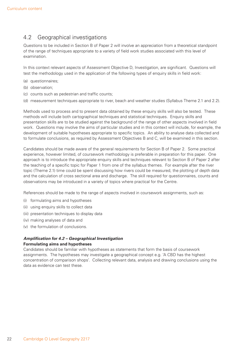### 4.2 Geographical investigations

Questions to be included in Section B of Paper 2 will involve an appreciation from a theoretical standpoint of the range of techniques appropriate to a variety of field work studies associated with this level of examination.

In this context relevant aspects of Assessment Objective D, Investigation, are significant. Questions will test the methodology used in the application of the following types of enquiry skills in field work:

- (a) questionnaires;
- (b) observation;
- (c) counts such as pedestrian and traffic counts;
- (d) measurement techniques appropriate to river, beach and weather studies (Syllabus Theme 2.1 and 2.2).

Methods used to process and to present data obtained by these enquiry skills will also be tested. These methods will include both cartographical techniques and statistical techniques. Enquiry skills and presentation skills are to be studied against the background of the range of other aspects involved in field work. Questions may involve the aims of particular studies and in this context will include, for example, the development of suitable hypotheses appropriate to specific topics. An ability to analyse data collected and to formulate conclusions, as required by Assessment Objectives B and C, will be examined in this section.

Candidates should be made aware of the general requirements for Section B of Paper 2. Some practical experience, however limited, of coursework methodology is preferable in preparation for this paper. One approach is to introduce the appropriate enquiry skills and techniques relevant to Section B of Paper 2 after the teaching of a specific topic for Paper 1 from one of the syllabus themes. For example after the river topic (Theme 2.1) time could be spent discussing how rivers could be measured, the plotting of depth data and the calculation of cross sectional area and discharge. The skill required for questionnaires, counts and observations may be introduced in a variety of topics where practical for the Centre.

References should be made to the range of aspects involved in coursework assignments, such as:

- (i) formulating aims and hypotheses
- (ii) using enquiry skills to collect data
- (iii) presentation techniques to display data
- (iv) making analyses of data and
- (v) the formulation of conclusions.

#### *Amplification for 4.2 – Geographical Investigation* **Formulating aims and hypotheses**

Candidates should be familiar with hypotheses as statements that form the basis of coursework assignments. The hypotheses may investigate a geographical concept e.g. 'A CBD has the highest concentration of comparison shops'. Collecting relevant data, analysis and drawing conclusions using the data as evidence can test these.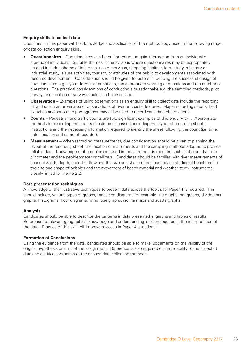#### **Enquiry skills to collect data**

Questions on this paper will test knowledge and application of the methodology used in the following range of data collection enquiry skills.

- **Questionnaires** Questionnaires can be oral or written to gain information from an individual or a group of individuals. Suitable themes in the syllabus where questionnaires may be appropriately studied include spheres of influence, use of services, shopping habits, a farm study, a factory or industrial study, leisure activities, tourism, or attitudes of the public to developments associated with resource development. Consideration should be given to factors influencing the successful design of questionnaires e.g. layout, format of questions, the appropriate wording of questions and the number of questions. The practical considerations of conducting a questionnaire e.g. the sampling methods, pilot survey, and location of survey should also be discussed.
- **Observation** Examples of using observations as an enquiry skill to collect data include the recording of land use in an urban area or observations of river or coastal features. Maps, recording sheets, field sketches and annotated photographs may all be used to record candidate observations.
- **Counts** Pedestrian and traffic counts are two significant examples of this enquiry skill. Appropriate methods for recording the counts should be discussed, including the layout of recording sheets, instructions and the necessary information required to identify the sheet following the count (i.e. time, date, location and name of recorder).
- **Measurement** When recording measurements, due consideration should be given to planning the layout of the recording sheet, the location of instruments and the sampling methods adopted to provide reliable data. Knowledge of the equipment used in measurement is required such as the quadrat, the clinometer and the pebbleometer or callipers. Candidates should be familiar with river measurements of channel width, depth, speed of flow and the size and shape of bedload; beach studies of beach profile, the size and shape of pebbles and the movement of beach material and weather study instruments closely linked to Theme 2.2.

#### **Data presentation techniques**

A knowledge of the illustrative techniques to present data across the topics for Paper 4 is required. This should include, various types of graphs, maps and diagrams for example line graphs, bar graphs, divided bar graphs, histograms, flow diagrams, wind rose graphs, isoline maps and scattergraphs.

#### **Analysis**

Candidates should be able to describe the patterns in data presented in graphs and tables of results. Reference to relevant geographical knowledge and understanding is often required in the interpretation of the data. Practice of this skill will improve success in Paper 4 questions.

#### **Formation of Conclusions**

Using the evidence from the data, candidates should be able to make judgements on the validity of the original hypothesis or aims of the assignment. Reference is also required of the reliability of the collected data and a critical evaluation of the chosen data collection methods.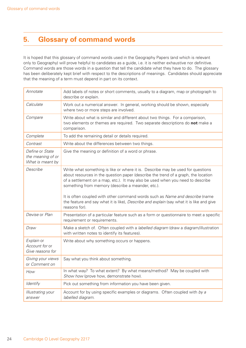### **5. Glossary of command words**

It is hoped that this glossary of command words used in the Geography Papers (and which is relevant only to Geography) will prove helpful to candidates as a guide, i.e. it is neither exhaustive nor definitive. Command words are those words in a question that tell the candidate what they have to do. The glossary has been deliberately kept brief with respect to the descriptions of meanings. Candidates should appreciate that the meaning of a term must depend in part on its context.

| Annotate                                                 | Add labels of notes or short comments, usually to a diagram, map or photograph to<br>describe or explain.                                                                                                                                                                                                                                                                                                                                                                                                 |
|----------------------------------------------------------|-----------------------------------------------------------------------------------------------------------------------------------------------------------------------------------------------------------------------------------------------------------------------------------------------------------------------------------------------------------------------------------------------------------------------------------------------------------------------------------------------------------|
| Calculate                                                | Work out a numerical answer. In general, working should be shown, especially<br>where two or more steps are involved.                                                                                                                                                                                                                                                                                                                                                                                     |
| Compare                                                  | Write about what is similar and different about two things. For a comparison,<br>two elements or themes are required. Two separate descriptions do not make a<br>comparison.                                                                                                                                                                                                                                                                                                                              |
| Complete                                                 | To add the remaining detail or details required.                                                                                                                                                                                                                                                                                                                                                                                                                                                          |
| Contrast                                                 | Write about the differences between two things.                                                                                                                                                                                                                                                                                                                                                                                                                                                           |
| Define or State<br>the meaning of or<br>What is meant by | Give the meaning or definition of a word or phrase.                                                                                                                                                                                                                                                                                                                                                                                                                                                       |
| Describe                                                 | Write what something is like or where it is. Describe may be used for questions<br>about resources in the question paper (describe the trend of a graph, the location<br>of a settlement on a map, etc.). It may also be used when you need to describe<br>something from memory (describe a meander, etc.).<br>It is often coupled with other command words such as Name and describe (name<br>the feature and say what it is like), Describe and explain (say what it is like and give<br>reasons for). |
| Devise or Plan                                           | Presentation of a particular feature such as a form or questionnaire to meet a specific<br>requirement or requirements.                                                                                                                                                                                                                                                                                                                                                                                   |
| Draw                                                     | Make a sketch of. Often coupled with a labelled diagram (draw a diagram/illustration<br>with written notes to identify its features).                                                                                                                                                                                                                                                                                                                                                                     |
| Explain or<br>Account for or<br>Give reasons for         | Write about why something occurs or happens.                                                                                                                                                                                                                                                                                                                                                                                                                                                              |
| Giving your views<br>or Comment on                       | Say what you think about something.                                                                                                                                                                                                                                                                                                                                                                                                                                                                       |
| How                                                      | In what way? To what extent? By what means/method? May be coupled with<br>Show how (prove how, demonstrate how).                                                                                                                                                                                                                                                                                                                                                                                          |
| Identify                                                 | Pick out something from information you have been given.                                                                                                                                                                                                                                                                                                                                                                                                                                                  |
| <b>Illustrating your</b><br>answer                       | Account for by using specific examples or diagrams. Often coupled with by a<br>labelled diagram.                                                                                                                                                                                                                                                                                                                                                                                                          |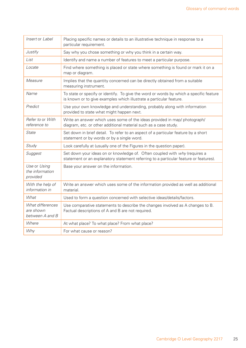| Insert or Label                                  | Placing specific names or details to an illustrative technique in response to a<br>particular requirement.                                                          |
|--------------------------------------------------|---------------------------------------------------------------------------------------------------------------------------------------------------------------------|
| Justify                                          | Say why you chose something or why you think in a certain way.                                                                                                      |
| List                                             | Identify and name a number of features to meet a particular purpose.                                                                                                |
| Locate                                           | Find where something is placed or state where something is found or mark it on a<br>map or diagram.                                                                 |
| Measure                                          | Implies that the quantity concerned can be directly obtained from a suitable<br>measuring instrument.                                                               |
| Name                                             | To state or specify or identify. To give the word or words by which a specific feature<br>is known or to give examples which illustrate a particular feature.       |
| Predict                                          | Use your own knowledge and understanding, probably along with information<br>provided to state what might happen next.                                              |
| Refer to or With<br>reference to                 | Write an answer which uses some of the ideas provided in map/ photograph/<br>diagram, etc. or other additional material such as a case study.                       |
| <b>State</b>                                     | Set down in brief detail. To refer to an aspect of a particular feature by a short<br>statement or by words or by a single word.                                    |
| Study                                            | Look carefully at (usually one of the Figures in the question paper).                                                                                               |
| Suggest                                          | Set down your ideas on or knowledge of. Often coupled with why (requires a<br>statement or an explanatory statement referring to a particular feature or features). |
| Use or Using<br>the information<br>provided      | Base your answer on the information.                                                                                                                                |
| With the help of<br>information in               | Write an answer which uses some of the information provided as well as additional<br>material.                                                                      |
| What                                             | Used to form a question concerned with selective ideas/details/factors.                                                                                             |
| What differences<br>are shown<br>between A and B | Use comparative statements to describe the changes involved as A changes to B.<br>Factual descriptions of A and B are not required.                                 |
| Where                                            | At what place? To what place? From what place?                                                                                                                      |
| Why                                              | For what cause or reason?                                                                                                                                           |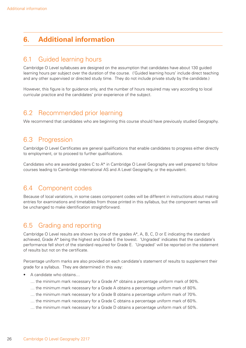# **6. Additional information**

### 6.1 Guided learning hours

Cambridge O Level syllabuses are designed on the assumption that candidates have about 130 guided learning hours per subject over the duration of the course. ('Guided learning hours' include direct teaching and any other supervised or directed study time. They do not include private study by the candidate.)

However, this figure is for guidance only, and the number of hours required may vary according to local curricular practice and the candidates' prior experience of the subject.

### 6.2 Recommended prior learning

We recommend that candidates who are beginning this course should have previously studied Geography.

### 6.3 Progression

Cambridge O Level Certificates are general qualifications that enable candidates to progress either directly to employment, or to proceed to further qualifications.

Candidates who are awarded grades C to A\* in Cambridge O Level Geography are well prepared to follow courses leading to Cambridge International AS and A Level Geography, or the equivalent.

### 6.4 Component codes

Because of local variations, in some cases component codes will be different in instructions about making entries for examinations and timetables from those printed in this syllabus, but the component names will be unchanged to make identification straightforward.

### 6.5 Grading and reporting

Cambridge O Level results are shown by one of the grades  $A^*$ , A, B, C, D or E indicating the standard achieved, Grade A\* being the highest and Grade E the lowest. 'Ungraded' indicates that the candidate's performance fell short of the standard required for Grade E. 'Ungraded' will be reported on the statement of results but not on the certificate.

Percentage uniform marks are also provided on each candidate's statement of results to supplement their grade for a syllabus. They are determined in this way:

- A candidate who obtains...
	- … the minimum mark necessary for a Grade A\* obtains a percentage uniform mark of 90%.
	- … the minimum mark necessary for a Grade A obtains a percentage uniform mark of 80%.
	- … the minimum mark necessary for a Grade B obtains a percentage uniform mark of 70%.
	- … the minimum mark necessary for a Grade C obtains a percentage uniform mark of 60%.
	- … the minimum mark necessary for a Grade D obtains a percentage uniform mark of 50%.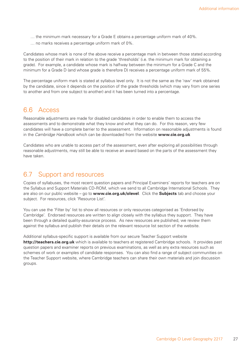- … the minimum mark necessary for a Grade E obtains a percentage uniform mark of 40%.
- … no marks receives a percentage uniform mark of 0%.

Candidates whose mark is none of the above receive a percentage mark in between those stated according to the position of their mark in relation to the grade 'thresholds' (i.e. the minimum mark for obtaining a grade). For example, a candidate whose mark is halfway between the minimum for a Grade C and the minimum for a Grade D (and whose grade is therefore D) receives a percentage uniform mark of 55%.

The percentage uniform mark is stated at syllabus level only. It is not the same as the 'raw' mark obtained by the candidate, since it depends on the position of the grade thresholds (which may vary from one series to another and from one subject to another) and it has been turned into a percentage.

### 6.6 Access

Reasonable adjustments are made for disabled candidates in order to enable them to access the assessments and to demonstrate what they know and what they can do. For this reason, very few candidates will have a complete barrier to the assessment. Information on reasonable adjustments is found in the *Cambridge Handbook* which can be downloaded from the website **[www.cie.org.uk](http://www.cie.org.uk)**

Candidates who are unable to access part of the assessment, even after exploring all possibilities through reasonable adjustments, may still be able to receive an award based on the parts of the assessment they have taken.

### 6.7 Support and resources

Copies of syllabuses, the most recent question papers and Principal Examiners' reports for teachers are on the Syllabus and Support Materials CD-ROM, which we send to all Cambridge International Schools. They are also on our public website – go to **[www.cie.org.uk/olevel](http://www.cie.org.uk/olevel)**. Click the **Subjects** tab and choose your subject. For resources, click 'Resource List'.

You can use the 'Filter by' list to show all resources or only resources categorised as 'Endorsed by Cambridge'. Endorsed resources are written to align closely with the syllabus they support. They have been through a detailed quality-assurance process. As new resources are published, we review them against the syllabus and publish their details on the relevant resource list section of the website.

Additional syllabus-specific support is available from our secure Teacher Support website **<http://teachers.cie.org.uk>** which is available to teachers at registered Cambridge schools. It provides past question papers and examiner reports on previous examinations, as well as any extra resources such as schemes of work or examples of candidate responses. You can also find a range of subject communities on the Teacher Support website, where Cambridge teachers can share their own materials and join discussion groups.